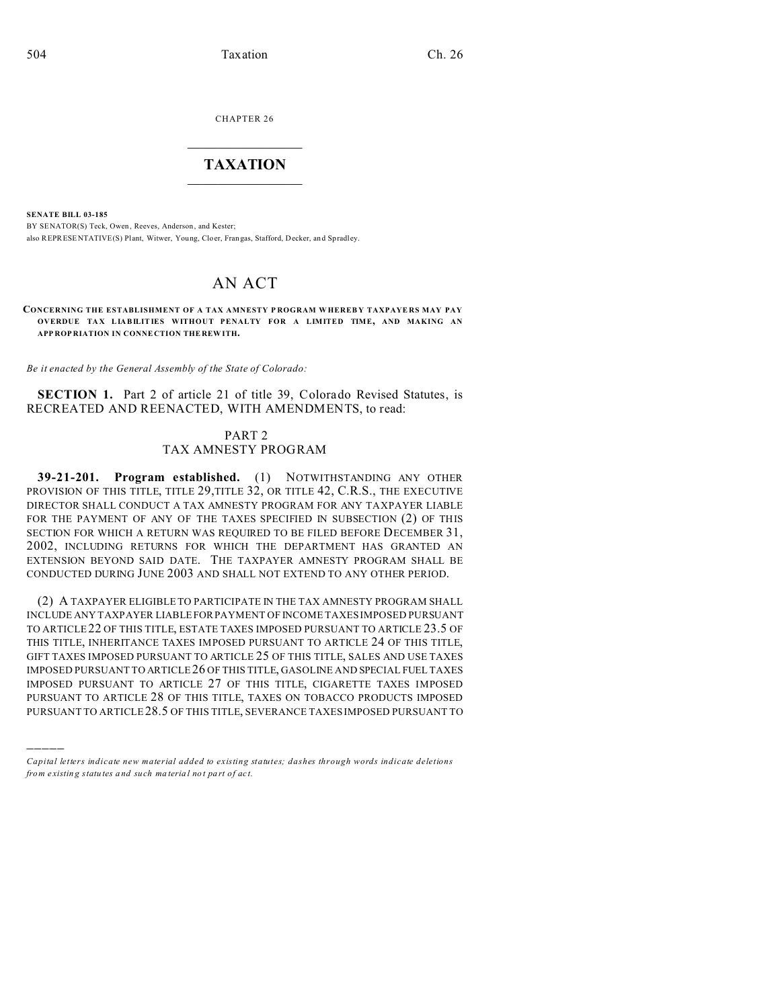CHAPTER 26

## $\overline{\phantom{a}}$  , where  $\overline{\phantom{a}}$ **TAXATION**  $\_$

**SENATE BILL 03-185**

)))))

BY SENATOR(S) Teck, Owen, Reeves, Anderson, and Kester; also REPRESENTATIVE(S) Plant, Witwer, Young, Cloer, Fran gas, Stafford, Decker, an d Spradley.

# AN ACT

**CONCERNING THE ESTABLISHMENT OF A TAX AMNESTY P ROGRAM W HEREB Y TAXPAYE RS MAY PAY OVERDUE TA X LIABILITIES WITHOUT PENALTY FOR A LIMITED TIME, AND MAKING AN APP ROP RIATION IN CONNE CTION THE REW ITH.**

*Be it enacted by the General Assembly of the State of Colorado:*

**SECTION 1.** Part 2 of article 21 of title 39, Colorado Revised Statutes, is RECREATED AND REENACTED, WITH AMENDMENTS, to read:

### PART 2 TAX AMNESTY PROGRAM

**39-21-201. Program established.** (1) NOTWITHSTANDING ANY OTHER PROVISION OF THIS TITLE, TITLE 29,TITLE 32, OR TITLE 42, C.R.S., THE EXECUTIVE DIRECTOR SHALL CONDUCT A TAX AMNESTY PROGRAM FOR ANY TAXPAYER LIABLE FOR THE PAYMENT OF ANY OF THE TAXES SPECIFIED IN SUBSECTION (2) OF THIS SECTION FOR WHICH A RETURN WAS REQUIRED TO BE FILED BEFORE DECEMBER 31, 2002, INCLUDING RETURNS FOR WHICH THE DEPARTMENT HAS GRANTED AN EXTENSION BEYOND SAID DATE. THE TAXPAYER AMNESTY PROGRAM SHALL BE CONDUCTED DURING JUNE 2003 AND SHALL NOT EXTEND TO ANY OTHER PERIOD.

(2) A TAXPAYER ELIGIBLE TO PARTICIPATE IN THE TAX AMNESTY PROGRAM SHALL INCLUDE ANY TAXPAYER LIABLEFORPAYMENT OF INCOME TAXES IMPOSED PURSUANT TO ARTICLE 22 OF THIS TITLE, ESTATE TAXES IMPOSED PURSUANT TO ARTICLE 23.5 OF THIS TITLE, INHERITANCE TAXES IMPOSED PURSUANT TO ARTICLE 24 OF THIS TITLE, GIFT TAXES IMPOSED PURSUANT TO ARTICLE 25 OF THIS TITLE, SALES AND USE TAXES IMPOSED PURSUANT TO ARTICLE 26 OF THIS TITLE, GASOLINE AND SPECIAL FUEL TAXES IMPOSED PURSUANT TO ARTICLE 27 OF THIS TITLE, CIGARETTE TAXES IMPOSED PURSUANT TO ARTICLE 28 OF THIS TITLE, TAXES ON TOBACCO PRODUCTS IMPOSED PURSUANT TO ARTICLE 28.5 OF THIS TITLE, SEVERANCE TAXES IMPOSED PURSUANT TO

*Capital letters indicate new material added to existing statutes; dashes through words indicate deletions from e xistin g statu tes a nd such ma teria l no t pa rt of ac t.*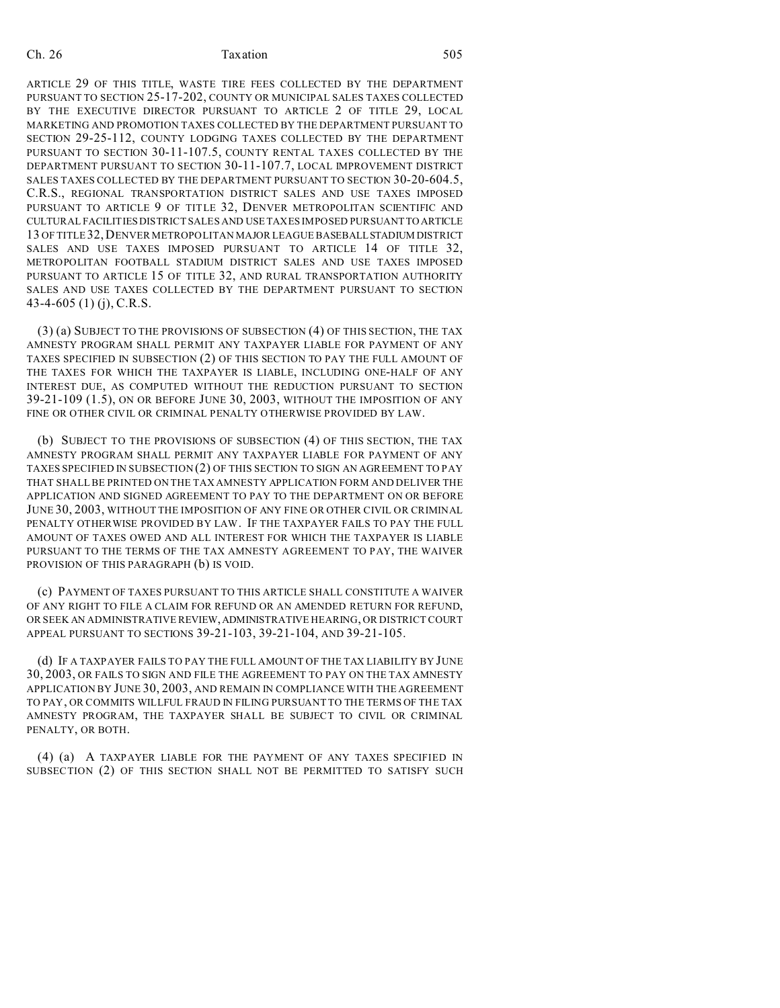#### Ch. 26 Taxation 505

ARTICLE 29 OF THIS TITLE, WASTE TIRE FEES COLLECTED BY THE DEPARTMENT PURSUANT TO SECTION 25-17-202, COUNTY OR MUNICIPAL SALES TAXES COLLECTED BY THE EXECUTIVE DIRECTOR PURSUANT TO ARTICLE 2 OF TITLE 29, LOCAL MARKETING AND PROMOTION TAXES COLLECTED BY THE DEPARTMENT PURSUANT TO SECTION 29-25-112, COUNTY LODGING TAXES COLLECTED BY THE DEPARTMENT PURSUANT TO SECTION 30-11-107.5, COUNTY RENTAL TAXES COLLECTED BY THE DEPARTMENT PURSUANT TO SECTION 30-11-107.7, LOCAL IMPROVEMENT DISTRICT SALES TAXES COLLECTED BY THE DEPARTMENT PURSUANT TO SECTION 30-20-604.5, C.R.S., REGIONAL TRANSPORTATION DISTRICT SALES AND USE TAXES IMPOSED PURSUANT TO ARTICLE 9 OF TITLE 32, DENVER METROPOLITAN SCIENTIFIC AND CULTURAL FACILITIES DISTRICT SALES AND USE TAXES IMPOSED PURSUANTTO ARTICLE 13 OF TITLE 32,DENVER METROPOLITAN MAJOR LEAGUE BASEBALLSTADIUM DISTRICT SALES AND USE TAXES IMPOSED PURSUANT TO ARTICLE 14 OF TITLE 32, METROPOLITAN FOOTBALL STADIUM DISTRICT SALES AND USE TAXES IMPOSED PURSUANT TO ARTICLE 15 OF TITLE 32, AND RURAL TRANSPORTATION AUTHORITY SALES AND USE TAXES COLLECTED BY THE DEPARTMENT PURSUANT TO SECTION 43-4-605 (1) (j), C.R.S.

(3) (a) SUBJECT TO THE PROVISIONS OF SUBSECTION (4) OF THIS SECTION, THE TAX AMNESTY PROGRAM SHALL PERMIT ANY TAXPAYER LIABLE FOR PAYMENT OF ANY TAXES SPECIFIED IN SUBSECTION (2) OF THIS SECTION TO PAY THE FULL AMOUNT OF THE TAXES FOR WHICH THE TAXPAYER IS LIABLE, INCLUDING ONE-HALF OF ANY INTEREST DUE, AS COMPUTED WITHOUT THE REDUCTION PURSUANT TO SECTION 39-21-109 (1.5), ON OR BEFORE JUNE 30, 2003, WITHOUT THE IMPOSITION OF ANY FINE OR OTHER CIVIL OR CRIMINAL PENALTY OTHERWISE PROVIDED BY LAW.

(b) SUBJECT TO THE PROVISIONS OF SUBSECTION (4) OF THIS SECTION, THE TAX AMNESTY PROGRAM SHALL PERMIT ANY TAXPAYER LIABLE FOR PAYMENT OF ANY TAXES SPECIFIED IN SUBSECTION (2) OF THIS SECTION TO SIGN AN AGREEMENT TO PAY THAT SHALL BE PRINTED ON THE TAX AMNESTY APPLICATION FORM AND DELIVER THE APPLICATION AND SIGNED AGREEMENT TO PAY TO THE DEPARTMENT ON OR BEFORE JUNE 30, 2003, WITHOUT THE IMPOSITION OF ANY FINE OR OTHER CIVIL OR CRIMINAL PENALTY OTHERWISE PROVIDED BY LAW. IF THE TAXPAYER FAILS TO PAY THE FULL AMOUNT OF TAXES OWED AND ALL INTEREST FOR WHICH THE TAXPAYER IS LIABLE PURSUANT TO THE TERMS OF THE TAX AMNESTY AGREEMENT TO PAY, THE WAIVER PROVISION OF THIS PARAGRAPH (b) IS VOID.

(c) PAYMENT OF TAXES PURSUANT TO THIS ARTICLE SHALL CONSTITUTE A WAIVER OF ANY RIGHT TO FILE A CLAIM FOR REFUND OR AN AMENDED RETURN FOR REFUND, OR SEEK AN ADMINISTRATIVE REVIEW,ADMINISTRATIVE HEARING, OR DISTRICT COURT APPEAL PURSUANT TO SECTIONS 39-21-103, 39-21-104, AND 39-21-105.

(d) IF A TAXPAYER FAILS TO PAY THE FULL AMOUNT OF THE TAX LIABILITY BY JUNE 30, 2003, OR FAILS TO SIGN AND FILE THE AGREEMENT TO PAY ON THE TAX AMNESTY APPLICATION BY JUNE 30, 2003, AND REMAIN IN COMPLIANCE WITH THE AGREEMENT TO PAY, OR COMMITS WILLFUL FRAUD IN FILING PURSUANT TO THE TERMS OF THE TAX AMNESTY PROGRAM, THE TAXPAYER SHALL BE SUBJECT TO CIVIL OR CRIMINAL PENALTY, OR BOTH.

(4) (a) A TAXPAYER LIABLE FOR THE PAYMENT OF ANY TAXES SPECIFIED IN SUBSECTION (2) OF THIS SECTION SHALL NOT BE PERMITTED TO SATISFY SUCH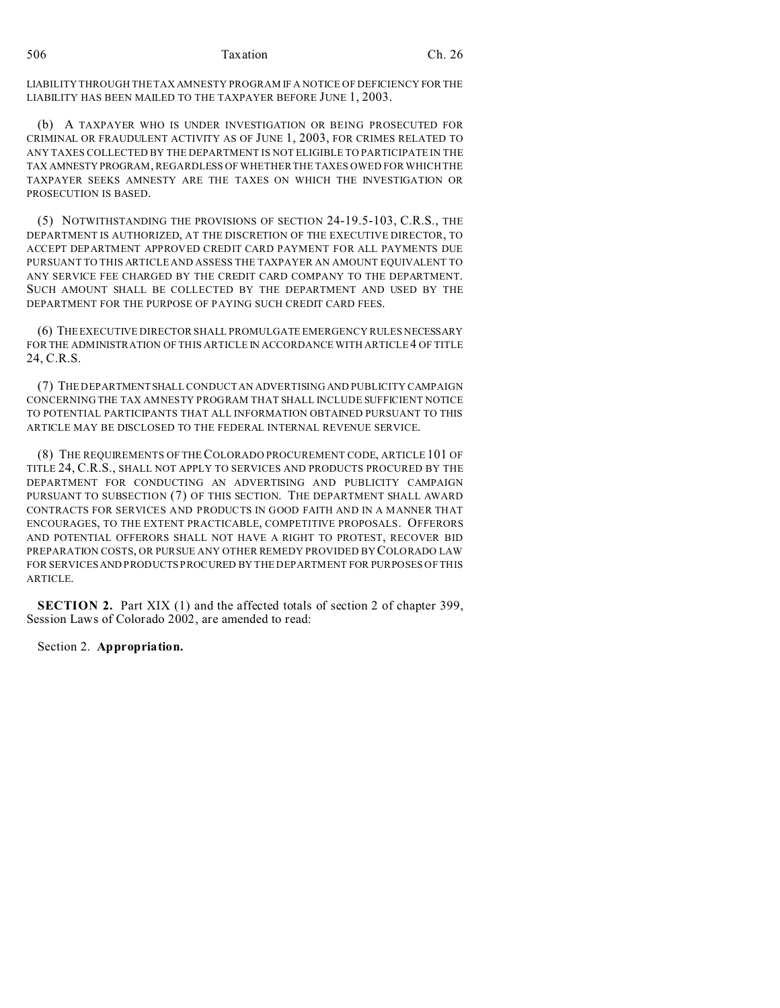LIABILITY THROUGH THE TAX AMNESTY PROGRAM IF A NOTICE OF DEFICIENCY FOR THE LIABILITY HAS BEEN MAILED TO THE TAXPAYER BEFORE JUNE 1, 2003.

(b) A TAXPAYER WHO IS UNDER INVESTIGATION OR BEING PROSECUTED FOR CRIMINAL OR FRAUDULENT ACTIVITY AS OF JUNE 1, 2003, FOR CRIMES RELATED TO ANY TAXES COLLECTED BY THE DEPARTMENT IS NOT ELIGIBLE TO PARTICIPATE IN THE TAX AMNESTY PROGRAM, REGARDLESS OF WHETHER THE TAXES OWED FOR WHICH THE TAXPAYER SEEKS AMNESTY ARE THE TAXES ON WHICH THE INVESTIGATION OR PROSECUTION IS BASED.

(5) NOTWITHSTANDING THE PROVISIONS OF SECTION 24-19.5-103, C.R.S., THE DEPARTMENT IS AUTHORIZED, AT THE DISCRETION OF THE EXECUTIVE DIRECTOR, TO ACCEPT DEPARTMENT APPROVED CREDIT CARD PAYMENT FOR ALL PAYMENTS DUE PURSUANT TO THIS ARTICLE AND ASSESS THE TAXPAYER AN AMOUNT EQUIVALENT TO ANY SERVICE FEE CHARGED BY THE CREDIT CARD COMPANY TO THE DEPARTMENT. SUCH AMOUNT SHALL BE COLLECTED BY THE DEPARTMENT AND USED BY THE DEPARTMENT FOR THE PURPOSE OF PAYING SUCH CREDIT CARD FEES.

(6) THEEXECUTIVE DIRECTOR SHALL PROMULGATE EMERGENCY RULES NECESSARY FOR THE ADMINISTRATION OF THIS ARTICLE IN ACCORDANCE WITH ARTICLE4 OF TITLE 24, C.R.S.

(7) THE DEPARTMENTSHALL CONDUCT AN ADVERTISING AND PUBLICITY CAMPAIGN CONCERNING THE TAX AMNESTY PROGRAM THAT SHALL INCLUDE SUFFICIENT NOTICE TO POTENTIAL PARTICIPANTS THAT ALL INFORMATION OBTAINED PURSUANT TO THIS ARTICLE MAY BE DISCLOSED TO THE FEDERAL INTERNAL REVENUE SERVICE.

(8) THE REQUIREMENTS OF THE COLORADO PROCUREMENT CODE, ARTICLE 101 OF TITLE 24, C.R.S., SHALL NOT APPLY TO SERVICES AND PRODUCTS PROCURED BY THE DEPARTMENT FOR CONDUCTING AN ADVERTISING AND PUBLICITY CAMPAIGN PURSUANT TO SUBSECTION (7) OF THIS SECTION. THE DEPARTMENT SHALL AWARD CONTRACTS FOR SERVICES AND PRODUCTS IN GOOD FAITH AND IN A MANNER THAT ENCOURAGES, TO THE EXTENT PRACTICABLE, COMPETITIVE PROPOSALS. OFFERORS AND POTENTIAL OFFERORS SHALL NOT HAVE A RIGHT TO PROTEST, RECOVER BID PREPARATION COSTS, OR PURSUE ANY OTHER REMEDY PROVIDED BY COLORADO LAW FOR SERVICES AND PRODUCTS PROCURED BY THE DEPARTMENT FOR PURPOSES OF THIS ARTICLE.

**SECTION 2.** Part XIX (1) and the affected totals of section 2 of chapter 399, Session Laws of Colorado 2002, are amended to read:

Section 2. **Appropriation.**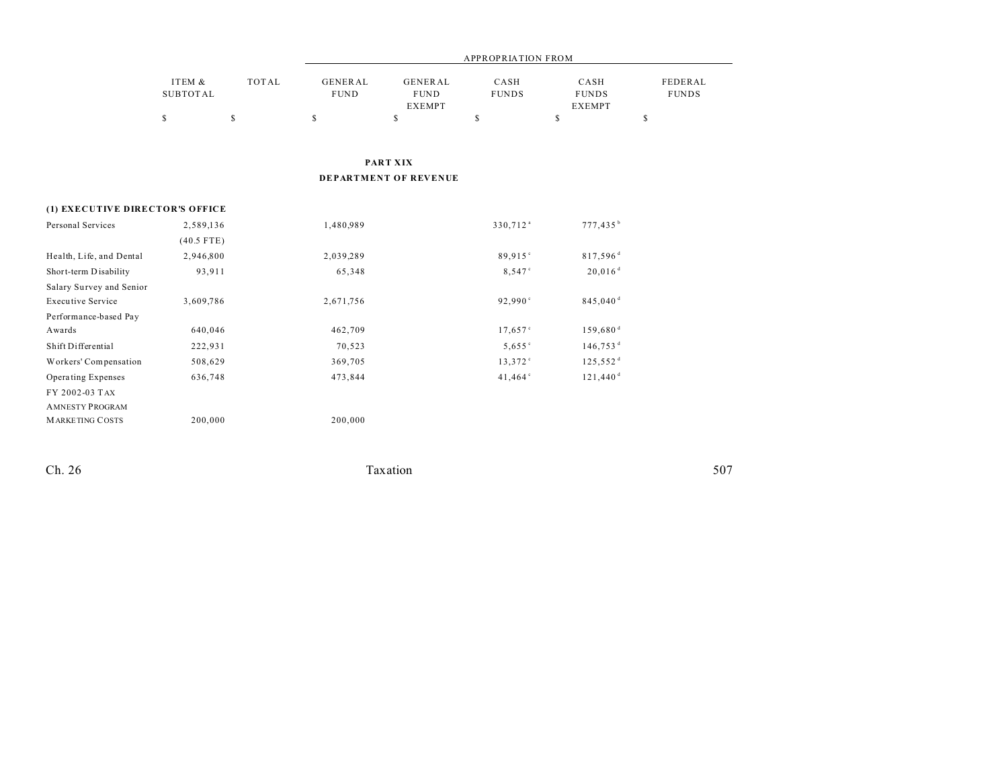|                                 | <b>APPROPRIATION FROM</b>                 |                    |                                     |                                                                |                            |                                                      |                                         |  |
|---------------------------------|-------------------------------------------|--------------------|-------------------------------------|----------------------------------------------------------------|----------------------------|------------------------------------------------------|-----------------------------------------|--|
|                                 | ITEM &<br><b>SUBTOTAL</b><br>$\mathbb{S}$ | <b>TOTAL</b><br>\$ | <b>GENERAL</b><br><b>FUND</b><br>\$ | <b>GENERAL</b><br><b>FUND</b><br><b>EXEMPT</b><br>$\mathbb{S}$ | CASH<br><b>FUNDS</b><br>\$ | CASH<br><b>FUNDS</b><br><b>EXEMPT</b><br>$\mathbb S$ | FEDERAL<br><b>FUNDS</b><br>$\mathbb{S}$ |  |
|                                 |                                           |                    |                                     |                                                                |                            |                                                      |                                         |  |
| PART XIX                        |                                           |                    |                                     |                                                                |                            |                                                      |                                         |  |
|                                 |                                           |                    |                                     | DEPARTMENT OF REVENUE                                          |                            |                                                      |                                         |  |
| (1) EXECUTIVE DIRECTOR'S OFFICE |                                           |                    |                                     |                                                                |                            |                                                      |                                         |  |
| Personal Services               | 2,589,136                                 |                    | 1,480,989                           |                                                                | 330,712 <sup>a</sup>       | 777,435 <sup>b</sup>                                 |                                         |  |
|                                 | $(40.5$ FTE)                              |                    |                                     |                                                                |                            |                                                      |                                         |  |
| Health, Life, and Dental        | 2,946,800                                 |                    | 2,039,289                           |                                                                | 89,915°                    | $817,596$ <sup>d</sup>                               |                                         |  |
| Short-term Disability           | 93,911                                    |                    | 65,348                              |                                                                | 8,547 <sup>c</sup>         | $20,016$ <sup>d</sup>                                |                                         |  |
| Salary Survey and Senior        |                                           |                    |                                     |                                                                |                            |                                                      |                                         |  |
| <b>Executive Service</b>        | 3,609,786                                 |                    | 2,671,756                           |                                                                | 92,990 $^{\circ}$          | 845,040 <sup>d</sup>                                 |                                         |  |
| Performance-based Pay           |                                           |                    |                                     |                                                                |                            |                                                      |                                         |  |
| Awards                          | 640,046                                   |                    | 462,709                             |                                                                | 17,657°                    | 159,680 <sup>d</sup>                                 |                                         |  |
| Shift Differential              | 222,931                                   |                    | 70,523                              |                                                                | 5,655°                     | $146,753$ <sup>d</sup>                               |                                         |  |
| Workers' Compensation           | 508,629                                   |                    | 369,705                             |                                                                | 13,372°                    | 125,552 <sup>d</sup>                                 |                                         |  |
| Operating Expenses              | 636,748                                   |                    | 473,844                             |                                                                | 41,464 <sup>c</sup>        | $121,440$ <sup>d</sup>                               |                                         |  |
| FY 2002-03 TAX                  |                                           |                    |                                     |                                                                |                            |                                                      |                                         |  |
| <b>AMNESTY PROGRAM</b>          |                                           |                    |                                     |                                                                |                            |                                                      |                                         |  |
| <b>MARKETING COSTS</b>          | 200,000                                   |                    | 200,000                             |                                                                |                            |                                                      |                                         |  |

 $\frac{1}{20}$  Ch. 26 Taxation 507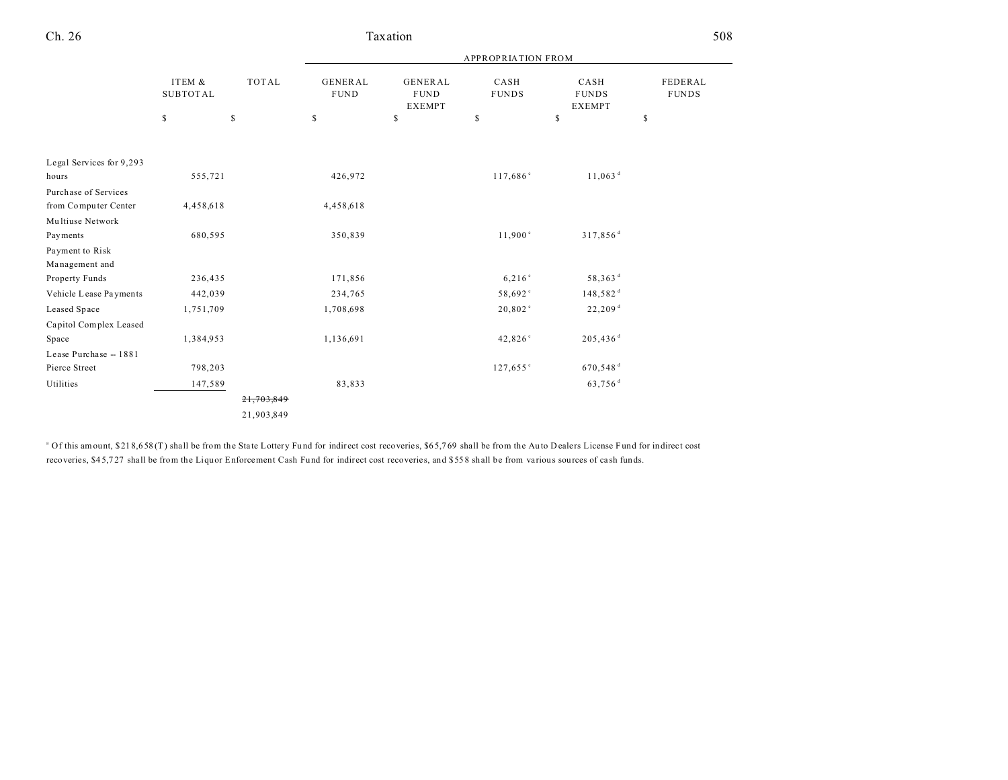|                          |                                 | <b>TOTAL</b><br>\$ | <b>APPROPRIATION FROM</b>           |                                                      |                            |                                             |                               |
|--------------------------|---------------------------------|--------------------|-------------------------------------|------------------------------------------------------|----------------------------|---------------------------------------------|-------------------------------|
|                          | ITEM &<br><b>SUBTOTAL</b><br>\$ |                    | <b>GENERAL</b><br><b>FUND</b><br>\$ | <b>GENERAL</b><br><b>FUND</b><br><b>EXEMPT</b><br>\$ | CASH<br><b>FUNDS</b><br>\$ | CASH<br><b>FUNDS</b><br><b>EXEMPT</b><br>\$ | FEDERAL<br><b>FUNDS</b><br>\$ |
|                          |                                 |                    |                                     |                                                      |                            |                                             |                               |
| Legal Services for 9,293 |                                 |                    |                                     |                                                      |                            |                                             |                               |
| hours                    | 555,721                         |                    | 426,972                             |                                                      | 117,686°                   | $11,063$ <sup>d</sup>                       |                               |
| Purchase of Services     |                                 |                    |                                     |                                                      |                            |                                             |                               |
| from Computer Center     | 4,458,618                       |                    | 4,458,618                           |                                                      |                            |                                             |                               |
| Multiuse Network         |                                 |                    |                                     |                                                      |                            |                                             |                               |
| Payments                 | 680,595                         |                    | 350,839                             |                                                      | 11,900°                    | 317,856 <sup>d</sup>                        |                               |
| Payment to Risk          |                                 |                    |                                     |                                                      |                            |                                             |                               |
| Management and           |                                 |                    |                                     |                                                      |                            |                                             |                               |
| Property Funds           | 236,435                         |                    | 171,856                             |                                                      | 6,216°                     | 58,363 <sup>d</sup>                         |                               |
| Vehicle Lease Payments   | 442,039                         |                    | 234,765                             |                                                      | 58,692°                    | $148,582$ <sup>d</sup>                      |                               |
| Leased Space             | 1,751,709                       |                    | 1,708,698                           |                                                      | 20,802°                    | 22,209 <sup>d</sup>                         |                               |
| Capitol Complex Leased   |                                 |                    |                                     |                                                      |                            |                                             |                               |
| Space                    | 1,384,953                       |                    | 1,136,691                           |                                                      | 42,826°                    | $205,436$ <sup>d</sup>                      |                               |
| Lease Purchase -- 1881   |                                 |                    |                                     |                                                      |                            |                                             |                               |
| Pierce Street            | 798,203                         |                    |                                     |                                                      | 127,655°                   | 670,548 <sup>d</sup>                        |                               |
| Utilities                | 147,589                         |                    | 83,833                              |                                                      |                            | 63,756 <sup>d</sup>                         |                               |
|                          |                                 | 21,703,849         |                                     |                                                      |                            |                                             |                               |
|                          |                                 | 21,903,849         |                                     |                                                      |                            |                                             |                               |

Taxation

508

Ch. 26

<sup>a</sup> Of this amount, \$218,658(T) shall be from the State Lottery Fund for indirect cost recoveries, \$65,769 shall be from the Auto Dealers License Fund for indirect cost recoveries, \$45,727 shall be from the Liquor Enforcement Cash Fund for indirect cost recoveries, and \$558 shall be from various sources of cash funds.